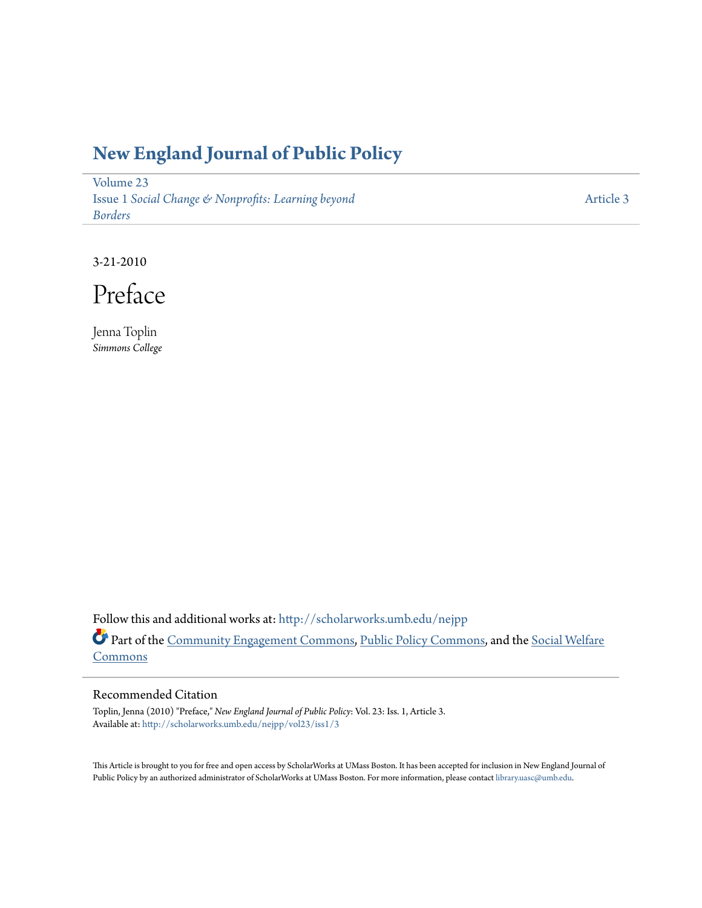### **[New England Journal of Public Policy](http://scholarworks.umb.edu/nejpp?utm_source=scholarworks.umb.edu%2Fnejpp%2Fvol23%2Fiss1%2F3&utm_medium=PDF&utm_campaign=PDFCoverPages)**

[Volume 23](http://scholarworks.umb.edu/nejpp/vol23?utm_source=scholarworks.umb.edu%2Fnejpp%2Fvol23%2Fiss1%2F3&utm_medium=PDF&utm_campaign=PDFCoverPages) Issue 1 *[Social Change & Nonprofits: Learning beyond](http://scholarworks.umb.edu/nejpp/vol23/iss1?utm_source=scholarworks.umb.edu%2Fnejpp%2Fvol23%2Fiss1%2F3&utm_medium=PDF&utm_campaign=PDFCoverPages) [Borders](http://scholarworks.umb.edu/nejpp/vol23/iss1?utm_source=scholarworks.umb.edu%2Fnejpp%2Fvol23%2Fiss1%2F3&utm_medium=PDF&utm_campaign=PDFCoverPages)*

[Article 3](http://scholarworks.umb.edu/nejpp/vol23/iss1/3?utm_source=scholarworks.umb.edu%2Fnejpp%2Fvol23%2Fiss1%2F3&utm_medium=PDF&utm_campaign=PDFCoverPages)

3-21-2010

Preface

Jenna Toplin *Simmons College*

Follow this and additional works at: [http://scholarworks.umb.edu/nejpp](http://scholarworks.umb.edu/nejpp?utm_source=scholarworks.umb.edu%2Fnejpp%2Fvol23%2Fiss1%2F3&utm_medium=PDF&utm_campaign=PDFCoverPages) Part of the [Community Engagement Commons](http://network.bepress.com/hgg/discipline/1028?utm_source=scholarworks.umb.edu%2Fnejpp%2Fvol23%2Fiss1%2F3&utm_medium=PDF&utm_campaign=PDFCoverPages), [Public Policy Commons](http://network.bepress.com/hgg/discipline/400?utm_source=scholarworks.umb.edu%2Fnejpp%2Fvol23%2Fiss1%2F3&utm_medium=PDF&utm_campaign=PDFCoverPages), and the [Social Welfare](http://network.bepress.com/hgg/discipline/401?utm_source=scholarworks.umb.edu%2Fnejpp%2Fvol23%2Fiss1%2F3&utm_medium=PDF&utm_campaign=PDFCoverPages) **[Commons](http://network.bepress.com/hgg/discipline/401?utm_source=scholarworks.umb.edu%2Fnejpp%2Fvol23%2Fiss1%2F3&utm_medium=PDF&utm_campaign=PDFCoverPages)** 

#### Recommended Citation

Toplin, Jenna (2010) "Preface," *New England Journal of Public Policy*: Vol. 23: Iss. 1, Article 3. Available at: [http://scholarworks.umb.edu/nejpp/vol23/iss1/3](http://scholarworks.umb.edu/nejpp/vol23/iss1/3?utm_source=scholarworks.umb.edu%2Fnejpp%2Fvol23%2Fiss1%2F3&utm_medium=PDF&utm_campaign=PDFCoverPages)

This Article is brought to you for free and open access by ScholarWorks at UMass Boston. It has been accepted for inclusion in New England Journal of Public Policy by an authorized administrator of ScholarWorks at UMass Boston. For more information, please contact [library.uasc@umb.edu](mailto:library.uasc@umb.edu).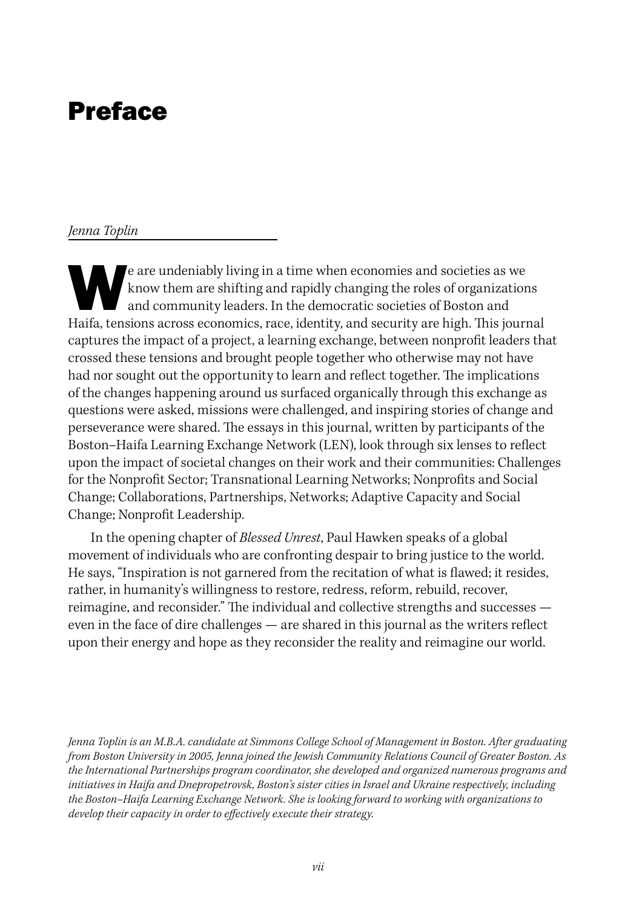# Preface

#### *Jenna Toplin*

e are undeniably living in a time when economies and societies as we<br>know them are shifting and rapidly changing the roles of organization<br>and community leaders. In the democratic societies of Boston and<br>Haifa tonsions acr know them are shifting and rapidly changing the roles of organizations and community leaders. In the democratic societies of Boston and Haifa, tensions across economics, race, identity, and security are high. This journal captures the impact of a project, a learning exchange, between nonprofit leaders that crossed these tensions and brought people together who otherwise may not have had nor sought out the opportunity to learn and reflect together. The implications of the changes happening around us surfaced organically through this exchange as questions were asked, missions were challenged, and inspiring stories of change and perseverance were shared. The essays in this journal, written by participants of the Boston–Haifa Learning Exchange Network (LEN), look through six lenses to reflect upon the impact of societal changes on their work and their communities: Challenges for the Nonprofit Sector; Transnational Learning Networks; Nonprofits and Social Change; Collaborations, Partnerships, Networks; Adaptive Capacity and Social Change; Nonprofit Leadership.

In the opening chapter of *Blessed Unrest*, Paul Hawken speaks of a global movement of individuals who are confronting despair to bring justice to the world. He says, "Inspiration is not garnered from the recitation of what is flawed; it resides, rather, in humanity's willingness to restore, redress, reform, rebuild, recover, reimagine, and reconsider." The individual and collective strengths and successes even in the face of dire challenges — are shared in this journal as the writers reflect upon their energy and hope as they reconsider the reality and reimagine our world.

*Jenna Toplin is an M.B.A. candidate at Simmons College School of Management in Boston. After graduating from Boston University in 2005, Jenna joined the Jewish Community Relations Council of Greater Boston. As the International Partnerships program coordinator, she developed and organized numerous programs and initiatives in Haifa and Dnepropetrovsk, Boston's sister cities in Israel and Ukraine respectively, including the Boston–Haifa Learning Exchange Network. She is looking forward to working with organizations to develop their capacity in order to effectively execute their strategy.*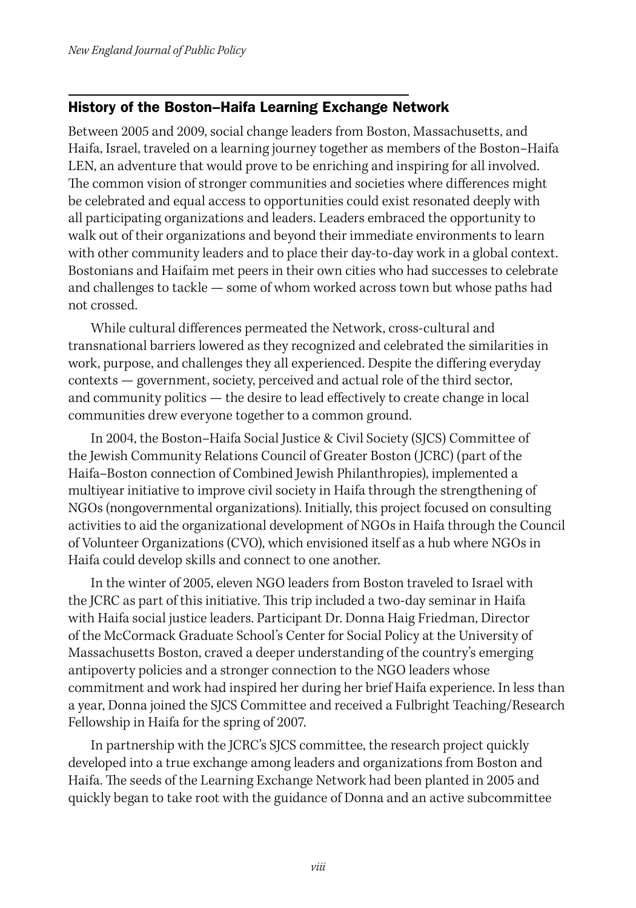### History of the Boston–Haifa Learning Exchange Network

Between 2005 and 2009, social change leaders from Boston, Massachusetts, and Haifa, Israel, traveled on a learning journey together as members of the Boston–Haifa LEN, an adventure that would prove to be enriching and inspiring for all involved. The common vision of stronger communities and societies where differences might be celebrated and equal access to opportunities could exist resonated deeply with all participating organizations and leaders. Leaders embraced the opportunity to walk out of their organizations and beyond their immediate environments to learn with other community leaders and to place their day-to-day work in a global context. Bostonians and Haifaim met peers in their own cities who had successes to celebrate and challenges to tackle — some of whom worked across town but whose paths had not crossed.

While cultural differences permeated the Network, cross-cultural and transnational barriers lowered as they recognized and celebrated the similarities in work, purpose, and challenges they all experienced. Despite the differing everyday contexts — government, society, perceived and actual role of the third sector, and community politics — the desire to lead effectively to create change in local communities drew everyone together to a common ground.

In 2004, the Boston–Haifa Social Justice & Civil Society (SJCS) Committee of the Jewish Community Relations Council of Greater Boston (JCRC) (part of the Haifa–Boston connection of Combined Jewish Philanthropies), implemented a multiyear initiative to improve civil society in Haifa through the strengthening of NGOs (nongovernmental organizations). Initially, this project focused on consulting activities to aid the organizational development of NGOs in Haifa through the Council of Volunteer Organizations (CVO), which envisioned itself as a hub where NGOs in Haifa could develop skills and connect to one another.

In the winter of 2005, eleven NGO leaders from Boston traveled to Israel with the JCRC as part of this initiative. This trip included a two-day seminar in Haifa with Haifa social justice leaders. Participant Dr. Donna Haig Friedman, Director of the McCormack Graduate School's Center for Social Policy at the University of Massachusetts Boston, craved a deeper understanding of the country's emerging antipoverty policies and a stronger connection to the NGO leaders whose commitment and work had inspired her during her brief Haifa experience. In less than a year, Donna joined the SJCS Committee and received a Fulbright Teaching/Research Fellowship in Haifa for the spring of 2007.

In partnership with the JCRC's SJCS committee, the research project quickly developed into a true exchange among leaders and organizations from Boston and Haifa. The seeds of the Learning Exchange Network had been planted in 2005 and quickly began to take root with the guidance of Donna and an active subcommittee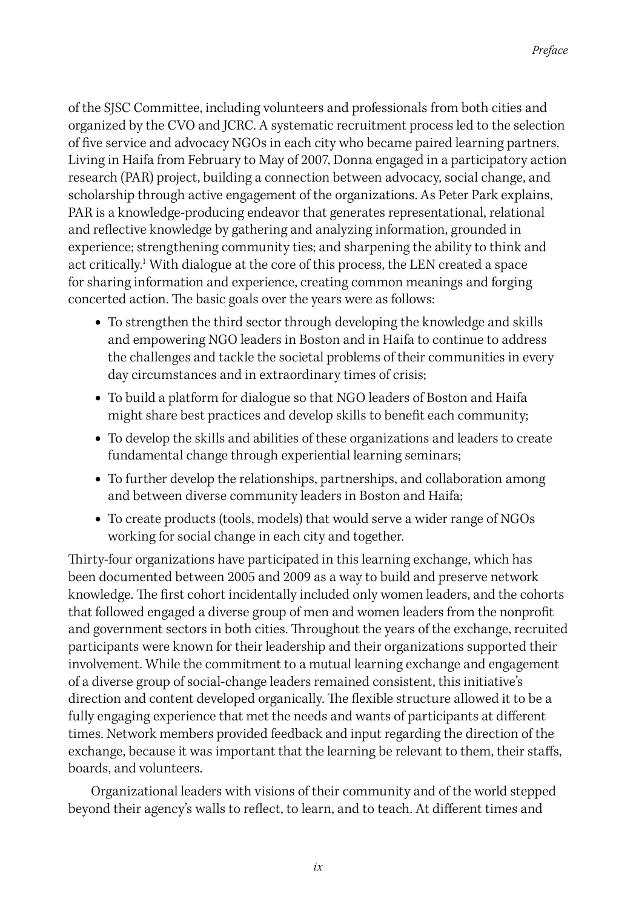of the SJSC Committee, including volunteers and professionals from both cities and organized by the CVO and JCRC. A systematic recruitment process led to the selection of five service and advocacy NGOs in each city who became paired learning partners. Living in Haifa from February to May of 2007, Donna engaged in a participatory action research (PAR) project, building a connection between advocacy, social change, and scholarship through active engagement of the organizations. As Peter Park explains, PAR is a knowledge-producing endeavor that generates representational, relational and reflective knowledge by gathering and analyzing information, grounded in experience; strengthening community ties; and sharpening the ability to think and act critically.<sup>1</sup> With dialogue at the core of this process, the LEN created a space for sharing information and experience, creating common meanings and forging concerted action. The basic goals over the years were as follows:

- **•** To strengthen the third sector through developing the knowledge and skills and empowering NGO leaders in Boston and in Haifa to continue to address the challenges and tackle the societal problems of their communities in every day circumstances and in extraordinary times of crisis;
- **•** To build a platform for dialogue so that NGO leaders of Boston and Haifa might share best practices and develop skills to benefit each community;
- **•** To develop the skills and abilities of these organizations and leaders to create fundamental change through experiential learning seminars;
- **•** To further develop the relationships, partnerships, and collaboration among and between diverse community leaders in Boston and Haifa;
- **•** To create products (tools, models) that would serve a wider range of NGOs working for social change in each city and together.

Thirty-four organizations have participated in this learning exchange, which has been documented between 2005 and 2009 as a way to build and preserve network knowledge. The first cohort incidentally included only women leaders, and the cohorts that followed engaged a diverse group of men and women leaders from the nonprofit and government sectors in both cities. Throughout the years of the exchange, recruited participants were known for their leadership and their organizations supported their involvement. While the commitment to a mutual learning exchange and engagement of a diverse group of social-change leaders remained consistent, this initiative's direction and content developed organically. The flexible structure allowed it to be a fully engaging experience that met the needs and wants of participants at different times. Network members provided feedback and input regarding the direction of the exchange, because it was important that the learning be relevant to them, their staffs, boards, and volunteers.

Organizational leaders with visions of their community and of the world stepped beyond their agency's walls to reflect, to learn, and to teach. At different times and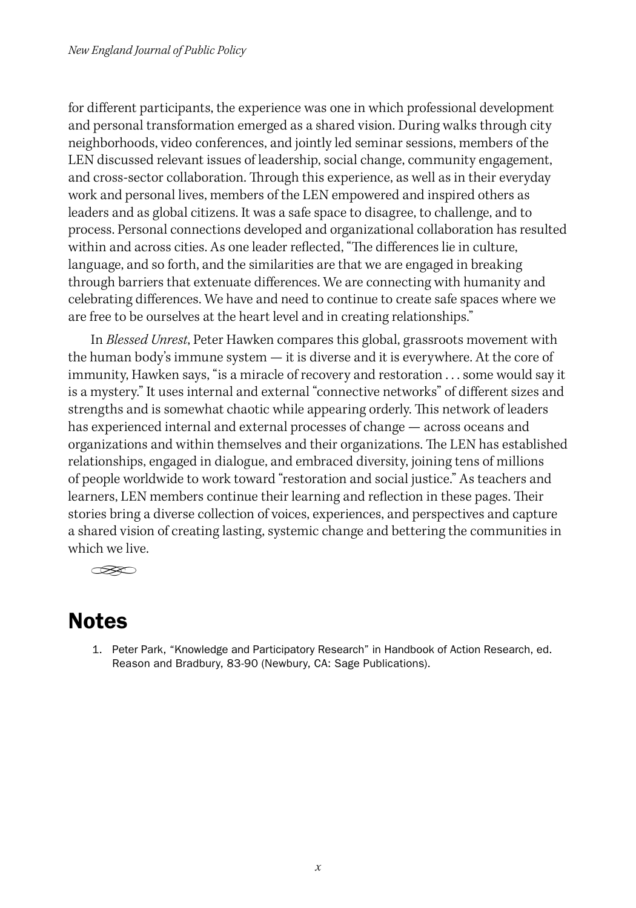for different participants, the experience was one in which professional development and personal transformation emerged as a shared vision. During walks through city neighborhoods, video conferences, and jointly led seminar sessions, members of the LEN discussed relevant issues of leadership, social change, community engagement, and cross-sector collaboration. Through this experience, as well as in their everyday work and personal lives, members of the LEN empowered and inspired others as leaders and as global citizens. It was a safe space to disagree, to challenge, and to process. Personal connections developed and organizational collaboration has resulted within and across cities. As one leader reflected, "The differences lie in culture, language, and so forth, and the similarities are that we are engaged in breaking through barriers that extenuate differences. We are connecting with humanity and celebrating differences. We have and need to continue to create safe spaces where we are free to be ourselves at the heart level and in creating relationships."

In *Blessed Unrest*, Peter Hawken compares this global, grassroots movement with the human body's immune system — it is diverse and it is everywhere. At the core of immunity, Hawken says, "is a miracle of recovery and restoration . . . some would say it is a mystery." It uses internal and external "connective networks" of different sizes and strengths and is somewhat chaotic while appearing orderly. This network of leaders has experienced internal and external processes of change — across oceans and organizations and within themselves and their organizations. The LEN has established relationships, engaged in dialogue, and embraced diversity, joining tens of millions of people worldwide to work toward "restoration and social justice." As teachers and learners, LEN members continue their learning and reflection in these pages. Their stories bring a diverse collection of voices, experiences, and perspectives and capture a shared vision of creating lasting, systemic change and bettering the communities in which we live.

 $\otimes$ 

## Notes

1. Peter Park, "Knowledge and Participatory Research" in Handbook of Action Research, ed. Reason and Bradbury, 83-90 (Newbury, CA: Sage Publications).